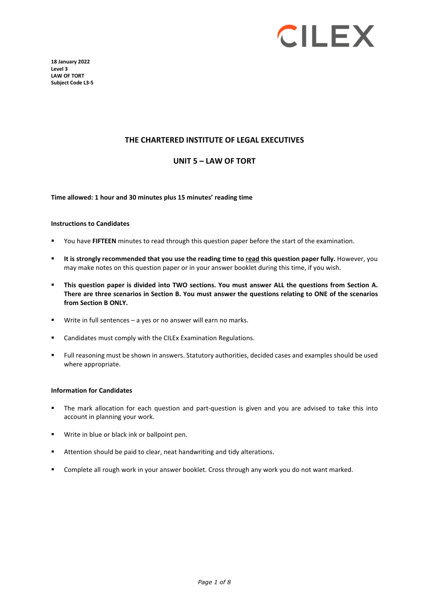

**18 January 2022 Level 3 LAW OF TORT Subject Code L3-5** 

### **THE CHARTERED INSTITUTE OF LEGAL EXECUTIVES**

### **UNIT 5 – LAW OF TORT**

**Time allowed: 1 hour and 30 minutes plus 15 minutes' reading time**

#### **Instructions to Candidates**

- You have **FIFTEEN** minutes to read through this question paper before the start of the examination.
- **It is strongly recommended that you use the reading time to read this question paper fully.** However, you may make notes on this question paper or in your answer booklet during this time, if you wish.
- **This question paper is divided into TWO sections. You must answer ALL the questions from Section A. There are three scenarios in Section B. You must answer the questions relating to ONE of the scenarios from Section B ONLY.**
- Write in full sentences a yes or no answer will earn no marks.
- Candidates must comply with the CILEx Examination Regulations.
- Full reasoning must be shown in answers. Statutory authorities, decided cases and examples should be used where appropriate.

#### **Information for Candidates**

- The mark allocation for each question and part-question is given and you are advised to take this into account in planning your work.
- Write in blue or black ink or ballpoint pen.
- Attention should be paid to clear, neat handwriting and tidy alterations.
- Complete all rough work in your answer booklet. Cross through any work you do not want marked.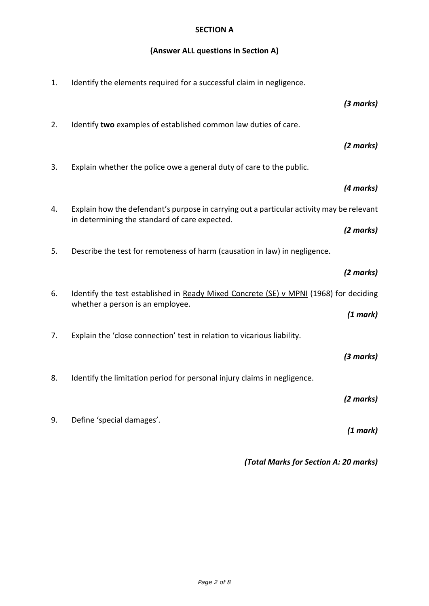## **SECTION A**

# **(Answer ALL questions in Section A)**

| 1. | Identify the elements required for a successful claim in negligence.                                                                       |           |
|----|--------------------------------------------------------------------------------------------------------------------------------------------|-----------|
|    |                                                                                                                                            | (3 marks) |
| 2. | Identify two examples of established common law duties of care.                                                                            |           |
|    |                                                                                                                                            | (2 marks) |
| 3. | Explain whether the police owe a general duty of care to the public.                                                                       |           |
|    |                                                                                                                                            | (4 marks) |
| 4. | Explain how the defendant's purpose in carrying out a particular activity may be relevant<br>in determining the standard of care expected. |           |
|    |                                                                                                                                            | (2 marks) |
| 5. | Describe the test for remoteness of harm (causation in law) in negligence.                                                                 |           |
|    |                                                                                                                                            |           |
|    |                                                                                                                                            | (2 marks) |
| 6. | Identify the test established in Ready Mixed Concrete (SE) v MPNI (1968) for deciding                                                      |           |
|    | whether a person is an employee.                                                                                                           | (1 mark)  |
| 7. | Explain the 'close connection' test in relation to vicarious liability.                                                                    |           |
|    |                                                                                                                                            | (3 marks) |
| 8. | Identify the limitation period for personal injury claims in negligence.                                                                   |           |
|    |                                                                                                                                            | (2 marks) |
| 9. | Define 'special damages'.                                                                                                                  | (1 mark)  |

*(Total Marks for Section A: 20 marks)*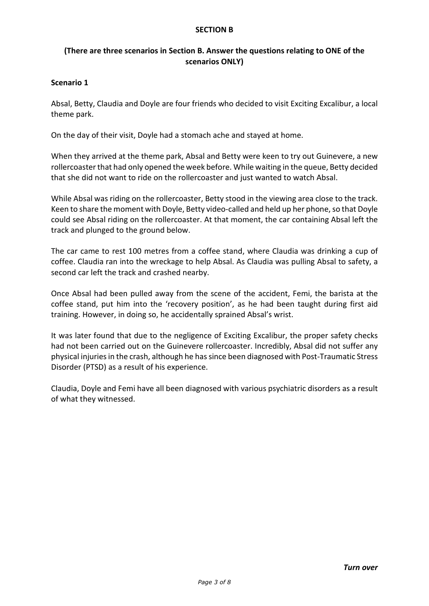### **SECTION B**

## **(There are three scenarios in Section B. Answer the questions relating to ONE of the scenarios ONLY)**

### **Scenario 1**

Absal, Betty, Claudia and Doyle are four friends who decided to visit Exciting Excalibur, a local theme park.

On the day of their visit, Doyle had a stomach ache and stayed at home.

When they arrived at the theme park, Absal and Betty were keen to try out Guinevere, a new rollercoaster that had only opened the week before. While waiting in the queue, Betty decided that she did not want to ride on the rollercoaster and just wanted to watch Absal.

While Absal was riding on the rollercoaster, Betty stood in the viewing area close to the track. Keen to share the moment with Doyle, Betty video-called and held up her phone, so that Doyle could see Absal riding on the rollercoaster. At that moment, the car containing Absal left the track and plunged to the ground below.

The car came to rest 100 metres from a coffee stand, where Claudia was drinking a cup of coffee. Claudia ran into the wreckage to help Absal. As Claudia was pulling Absal to safety, a second car left the track and crashed nearby.

Once Absal had been pulled away from the scene of the accident, Femi, the barista at the coffee stand, put him into the 'recovery position', as he had been taught during first aid training. However, in doing so, he accidentally sprained Absal's wrist.

It was later found that due to the negligence of Exciting Excalibur, the proper safety checks had not been carried out on the Guinevere rollercoaster. Incredibly, Absal did not suffer any physical injuries in the crash, although he has since been diagnosed with Post-Traumatic Stress Disorder (PTSD) as a result of his experience.

Claudia, Doyle and Femi have all been diagnosed with various psychiatric disorders as a result of what they witnessed.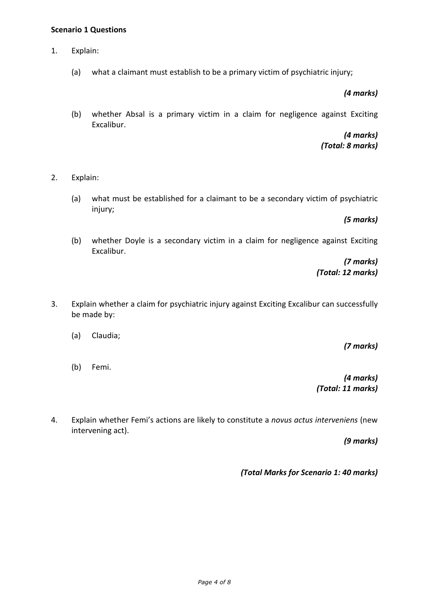### **Scenario 1 Questions**

- 1. Explain:
	- (a) what a claimant must establish to be a primary victim of psychiatric injury;

*(4 marks)*

(b) whether Absal is a primary victim in a claim for negligence against Exciting Excalibur.

> *(4 marks) (Total: 8 marks)*

- 2. Explain:
	- (a) what must be established for a claimant to be a secondary victim of psychiatric injury;

*(5 marks)*

(b) whether Doyle is a secondary victim in a claim for negligence against Exciting Excalibur.

> *(7 marks) (Total: 12 marks)*

- 3. Explain whether a claim for psychiatric injury against Exciting Excalibur can successfully be made by:
	- (a) Claudia;
	- (b) Femi.

*(7 marks)*

*(4 marks) (Total: 11 marks)*

4. Explain whether Femi's actions are likely to constitute a *novus actus interveniens* (new intervening act).

*(9 marks)*

*(Total Marks for Scenario 1: 40 marks)*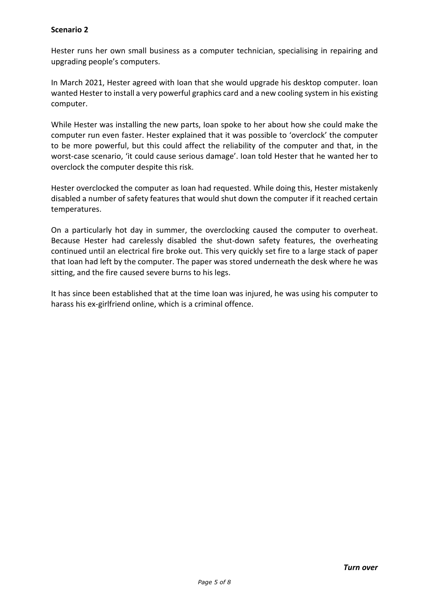## **Scenario 2**

Hester runs her own small business as a computer technician, specialising in repairing and upgrading people's computers.

In March 2021, Hester agreed with Ioan that she would upgrade his desktop computer. Ioan wanted Hester to install a very powerful graphics card and a new cooling system in his existing computer.

While Hester was installing the new parts, Ioan spoke to her about how she could make the computer run even faster. Hester explained that it was possible to 'overclock' the computer to be more powerful, but this could affect the reliability of the computer and that, in the worst-case scenario, 'it could cause serious damage'. Ioan told Hester that he wanted her to overclock the computer despite this risk.

Hester overclocked the computer as Ioan had requested. While doing this, Hester mistakenly disabled a number of safety features that would shut down the computer if it reached certain temperatures.

On a particularly hot day in summer, the overclocking caused the computer to overheat. Because Hester had carelessly disabled the shut-down safety features, the overheating continued until an electrical fire broke out. This very quickly set fire to a large stack of paper that Ioan had left by the computer. The paper was stored underneath the desk where he was sitting, and the fire caused severe burns to his legs.

It has since been established that at the time Ioan was injured, he was using his computer to harass his ex-girlfriend online, which is a criminal offence.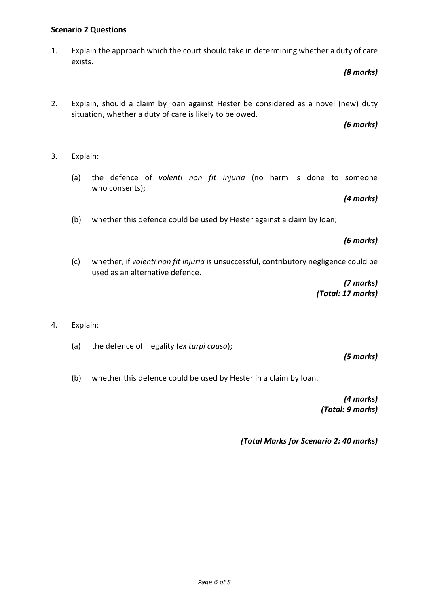# **Scenario 2 Questions**

1. Explain the approach which the court should take in determining whether a duty of care exists.

*(8 marks)*

2. Explain, should a claim by Ioan against Hester be considered as a novel (new) duty situation, whether a duty of care is likely to be owed.

*(6 marks)*

- 3. Explain:
	- (a) the defence of *volenti non fit injuria* (no harm is done to someone who consents);

*(4 marks)*

(b) whether this defence could be used by Hester against a claim by Ioan;

*(6 marks)*

(c) whether, if *volenti non fit injuria* is unsuccessful, contributory negligence could be used as an alternative defence.

> *(7 marks) (Total: 17 marks)*

- 4. Explain:
	- (a) the defence of illegality (*ex turpi causa*);

*(5 marks)*

(b) whether this defence could be used by Hester in a claim by Ioan.

*(4 marks) (Total: 9 marks)*

*(Total Marks for Scenario 2: 40 marks)*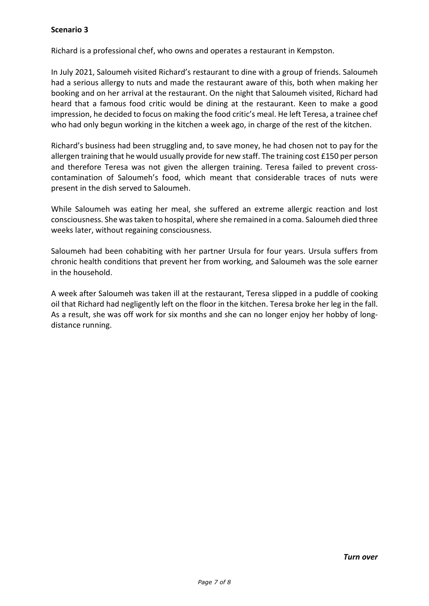Richard is a professional chef, who owns and operates a restaurant in Kempston.

In July 2021, Saloumeh visited Richard's restaurant to dine with a group of friends. Saloumeh had a serious allergy to nuts and made the restaurant aware of this, both when making her booking and on her arrival at the restaurant. On the night that Saloumeh visited, Richard had heard that a famous food critic would be dining at the restaurant. Keen to make a good impression, he decided to focus on making the food critic's meal. He left Teresa, a trainee chef who had only begun working in the kitchen a week ago, in charge of the rest of the kitchen.

Richard's business had been struggling and, to save money, he had chosen not to pay for the allergen training that he would usually provide for new staff. The training cost £150 per person and therefore Teresa was not given the allergen training. Teresa failed to prevent crosscontamination of Saloumeh's food, which meant that considerable traces of nuts were present in the dish served to Saloumeh.

While Saloumeh was eating her meal, she suffered an extreme allergic reaction and lost consciousness. She was taken to hospital, where she remained in a coma. Saloumeh died three weeks later, without regaining consciousness.

Saloumeh had been cohabiting with her partner Ursula for four years. Ursula suffers from chronic health conditions that prevent her from working, and Saloumeh was the sole earner in the household.

A week after Saloumeh was taken ill at the restaurant, Teresa slipped in a puddle of cooking oil that Richard had negligently left on the floor in the kitchen. Teresa broke her leg in the fall. As a result, she was off work for six months and she can no longer enjoy her hobby of longdistance running.